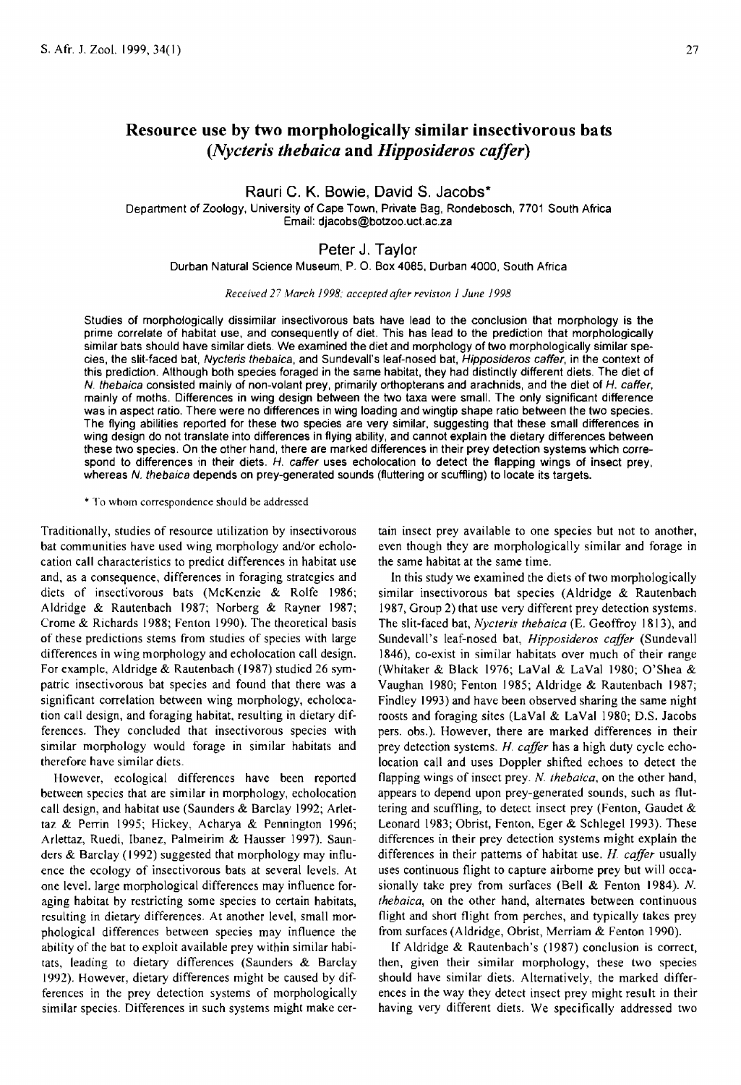# Resource use by two morphologicalJy similar insectivorous bats *(Nycteris thebaica* and *Hipposideros caller)*

Rauri C. K. Bowie. David S. Jacobs\*

Department of Zoology, University of Cape Town, Private Bag, Rondebosch, 7701 South Africa Email: djacobs@botzoo.uct.ac.za

## Peter J. Taylor

Durban Natural Science Museum. P. O. Box 4085, Durban 4000, South Africa

*Received* 27 *March* J 998; *accepted after reviSIOn* J *June* J *998* 

Studies of morphologically dissimilar insectivorous bats have lead to the conclusion that morphology is the prime correlate of habitat use, and consequently of diet. This has lead to the prediction that morphologically similar bats should have similar diets. We examined the diet and morphology of two morphologically similar species, the slit-faced bat, Nycteris thebaica, and Sundevall's leaf-nosed bat, Hipposideros caffer, in the context of this prediction. Although both species foraged in the same habitat, they had distinctly different diets. The diet of N. thebaica consisted mainly of non-volant prey. primarily orthopterans and arachnids, and the diet of H. caffer, mainly of moths. Differences in wing design between the two taxa were small. The only significant difference was in aspect ratio. There were no differences in wing loading and wingtip shape ratio between the two species. The flying abilities reported for these two species are very similar, suggesting that these small differences in wing deSign do not translate into differences in flying ability, and cannot explain the dietary differences between these two species. On the other hand, there are marked differences in their prey detection systems which correspond to differences in their diets. H. caffer uses echolocation to detect the flapping wings of insect prey. whereas N. thebaica depends on prey-generated sounds (fluttering or scuffling) to locate its targets.

#### \* To whom correspondence should be addressed

Traditionally, studies of resource utilization by insectivorous bat communities have used wing morphology and/or echolocation call characteristics to predict differences in habitat use and, as a consequence, differences in foraging strategies and diets of insectivorous bats (McKenzie & Rolfe 1986; Aldridge & Rautenbach 1987; Norberg & Rayner 1987; Crome & Richards 1988; Fenton 1990). The theoretical basis of these predictions stems from studies of species with large differences in wing morphology and echolocation call design. For example, Aldridge & Rautenbach (1987) studied 26 sympatric insectivorous bat species and found that there was a significant correlation between wing morphology, echolocation call design, and foraging habitat, resulting in dietary differences. They concluded that insectivorous species with similar morphology would forage in similar habitats and therefore have similar diets.

However, ecological differences have been reported between species that are similar in morphology, echolocation call design, and habitat use (Saunders & Barclay 1992; Arlettaz & Perrin 1995; Hickey, Acharya & Pennington 1996; Arlertaz, Ruedi, Ibanez, Palmeirim & Hausser 1997). Saunders & Barclay (1992) suggested that morphology may influence the ecology of insectivorous bats at several levels. At one level. large morphological differences may influence foraging habitat by restricting some species to certain habitats, resulting in dietary differences. At another level, small morphological differences between species may influence the ability of the bat to exploit available prey within similar habitats, leading to dietary differences (Saunders & Barclay 1992). However, dietary differences might be caused by differences in the prey detection systems of morphologically similar species. Differences in such systems might make certain insect prey available to one species but not to another, even though they are morphologically similar and forage in the same habitat at the same time.

In this study we examined the diets of two morphologically similar insectivorous bat species (Aldridge & Rautenbach 1987, Group 2) that use very different prey detection systems. The slit-faced bat, *Nycteris thebaica* (E. Geoffroy 1813), and Sundevall's leaf-nosed bat, *Hipposideros caffer* (Sundevall 1846), co-exist in similar habitats over much of their range (Whitaker & Black 1976; LaVal & LaVal 1980; O'Shea & Vaughan 1980; Fenton 1985; Aldridge & Rautenbach 1987; Findley 1993) and have been observed sharing the same night roosts and foraging sites (LaVal & LaVal 1980; D.S. Jacobs pers. obs.). However, there are marked differences in their prey detection systems. *H. caffer* has a high duty cycle echolocation call and uses Doppler shifted echoes to detect the flapping wings of insect prey. N. *thebaica*, on the other hand, appears to depend upon prey-generated sounds, such as fluttering and scuffling, to detect insect prey (Fenton, Gaudet & Leonard 1983; Obrist, Fenton, Eger & Schlegel 1993). These differences in their prey detection systems might explain the differences in their patterns of habitat use. *H. caffer* usually uses continuous flight to capture airborne prey but will occasionally take prey from surfaces (Bell & Fenton 1984). N. *Ihebaica,* on the other hand, alternates between continuous flight and short flight from perches, and typically takes prey from surfaces (Aldridge, Obrist, Merriam & Fenton 1990).

If Aldridge & Rautenbach's (1987) conclusion is correct, then, given their similar morphology, these two species should have similar diets. Alternatively, the marked differences in the way they detect insect prey might result in their having very different diets. We specifically addressed two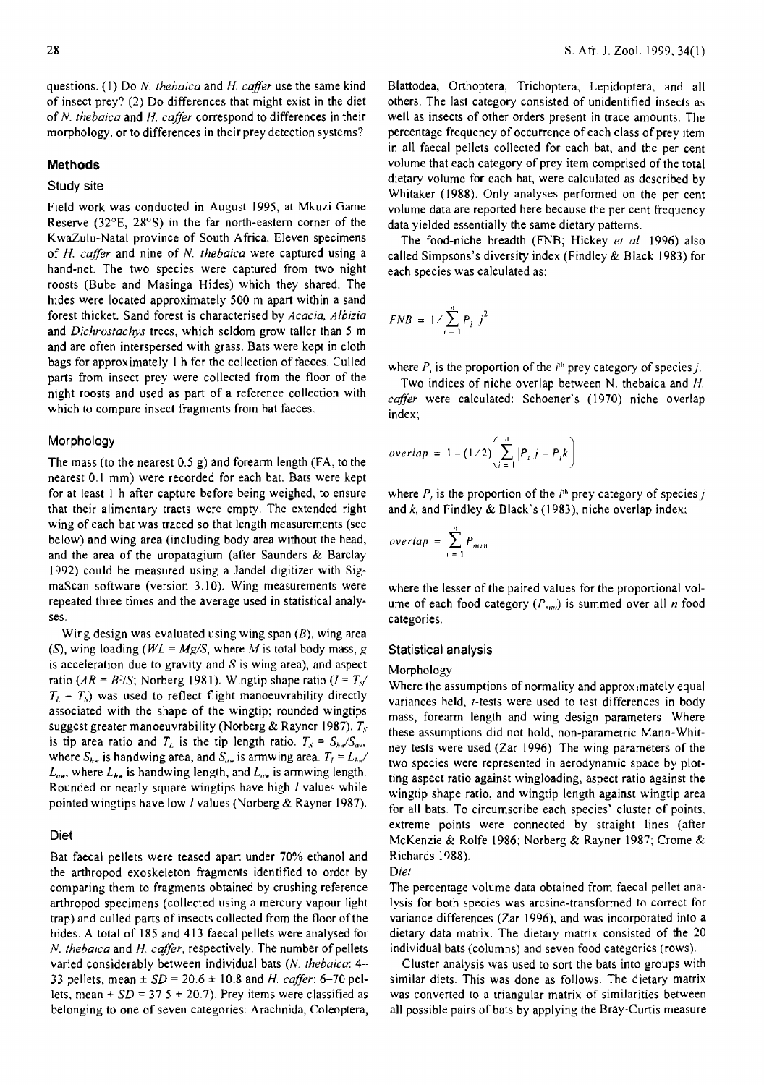questions. (1) Do *N thebaica* and *H. caffer* use the same kind of insect prey? (2) Do differences that might exist in the diet of N *thebaica* and II. *cafler* correspond to differences in their morphology. or to differences in their prey detection systems?

#### **Methods**

### Study site

Field work was conducted in August 1995, at Mkuzi Game Reserve (32°E, 28°S) in the far north-eastern corner of the KwaZulu-Natal province of South Africa. Eleven specimens of H. *caffer* and nine of N. *thebaica* were captured using a hand-net. The two species were captured from two night roosts (Bube and Masinga Hides) which they shared. The hides were located approximately 500 m apart within a sand forest thicket. Sand forest is characterised by *Acacia, Albizia*  and *Dichrostachys* trees, which seldom grow taller than 5 m and are often interspersed with grass. Bats were kept in cloth bags for approximately I h for the collection of faeces. Culled parts from insect prey were collected from the floor of the night roosts and used as part of a reference collection with which to compare insect fragments from bat faeces.

#### Morphology

The mass (to the nearest 0.5 g) and foreann length (FA, to the nearest 0.1 mm) were recorded for each bat. Bats were kept for at least I h after capture before being weighed, to ensure that their alimentary tracts were empty. The extended right wing of each bat was traced so that length measurements (see below) and wing area (including body area without the head, and the area of the uropatagium (after Saunders & Barclay 1992) could be measured using a Jandel digitizer with SigmaScan software (version 3.10). Wing measurements were repeated three times and the average used in statistical analyses.

Wing design was evaluated using wing span  $(B)$ , wing area (S), wing loading *(WL* = *Mg/S,* where *M* is total body mass, g is acceleration due to gravity and  $S$  is wing area), and aspect ratio ( $AR = B^2/S$ ; Norberg 1981). Wingtip shape ratio ( $I = T/$  $T_L - T_s$ ) was used to reflect flight manoeuvrability directly associated with the shape of the wingtip; rounded wingtips suggest greater manoeuvrability (Norberg & Rayner 1987).  $T_s$ is tip area ratio and  $T_L$  is the tip length ratio.  $T_S = S_{ba}/S_{aa}$ , where  $S_{\lambda w}$  is handwing area, and  $S_{\lambda w}$  is armwing area.  $T_L = L_{h x}$ /  $L_{\text{low}}$ , where  $L_{\text{low}}$  is handwing length, and  $L_{\text{low}}$  is armwing length. Rounded or nearly square wingtips have high *I* values while pointed wingtips have low f values (Norberg & Rayner 1987).

#### Diet

Bat faecal pellets were teased apart under 70% ethanol and the arthropod exoskeleton fragments identified to order by comparing them to fragments obtained by crushing reference arthropod specimens (collected using a mercury vapour light trap) and culled parts of insects collected from the floor of the hides. A total of 185 and 413 faecal pellets were analysed for N. *thebaica* and *H cafler,* respectively. The number of pellets varied considerably between individual bats (N. *rhebaica: 4-·*  33 pellets, mean ± *SD* = 20.6 ± 10.8 and *H. caffer:* 6-70 pellets, mean  $\pm SD = 37.5 \pm 20.7$ ). Prey items were classified as belonging to one of seven categories: Arachnida, Coleoptera,

Blattodea, Orthoptera, Trichoptera, Lepidoptera, and all others. The last category consisted of unidentified insects as well as insects of other orders present in trace amounts. The percentage frequency of occurrence of each class of prey item in all faecal pellets collected for each bat, and the per cent volume that each category of prey item comprised of the total dietary volume for each bat, were calculated as described by Whitaker (1988). Only analyses performed on the per cent volume data are reported here because the per cent frequency data yielded essentially the same dietary patterns.

The food-niche breadth (FNB; Hickey *et al.* 1996) also called Simpsons's diversity index (Findley & Black 1983) for each species was calculated as:

$$
FNB = 1/\sum_{i=1}^{n} P_i j^2
$$

where  $P_i$  is the proportion of the  $i<sup>th</sup>$  prey category of species j.

Two indices of niche overlap between N. thebaica and H. *caffer* were calculated: Schoener's (1970) niche overlap index;

$$
overlap = 1 - (1/2) \left( \sum_{i=1}^{n} |P_i j - P_i k| \right)
$$

where  $P_i$ , is the proportion of the  $i<sup>th</sup>$  prey category of species *j* and  $k$ , and Findley & Black's (1983), niche overlap index;

$$
overlap = \sum_{i=1}^{n} P_{min}
$$

where the lesser of the paired values for the proportional volume of each food category ( $P_{num}$ ) is summed over all *n* food categories.

#### Statistical analysis

#### Morphology

Where the assumptions of normality and approximately equal variances held, *t*-tests were used to test differences in body mass, forearm length and wing design parameters. Where these assumptions did not hold, non-parametric Mann-Whitney tests were used (Zar 1996). The wing parameters of the two species were represented in aerodynamic space by plotting aspect ratio against wingloading, aspect ratio against the wingtip shape ratio, and wingtip length against wingtip area for all bats. To circumscribe each species' cluster of points, extreme points were connected by straight lines (after McKenzie & Rolfe 1986; Norberg & Rayner 1987; Crome & Richards 1988).

*Diet* 

The percentage volume data obtained from faecal pellet analysis for both species was arcsine-transfonned to correct for variance differences (Zar 1996), and was incorporated into a dietary data matrix. The dietary matrix consisted of the 20 individual bats (columns) and seven food categories (rows).

Cluster analysis was used to sort the bats into groups with similar diets. This was done as follows. The dietary matrix was converted to a triangular matrix of similarities between all possible pairs of bats by applying the Bray-Curtis measure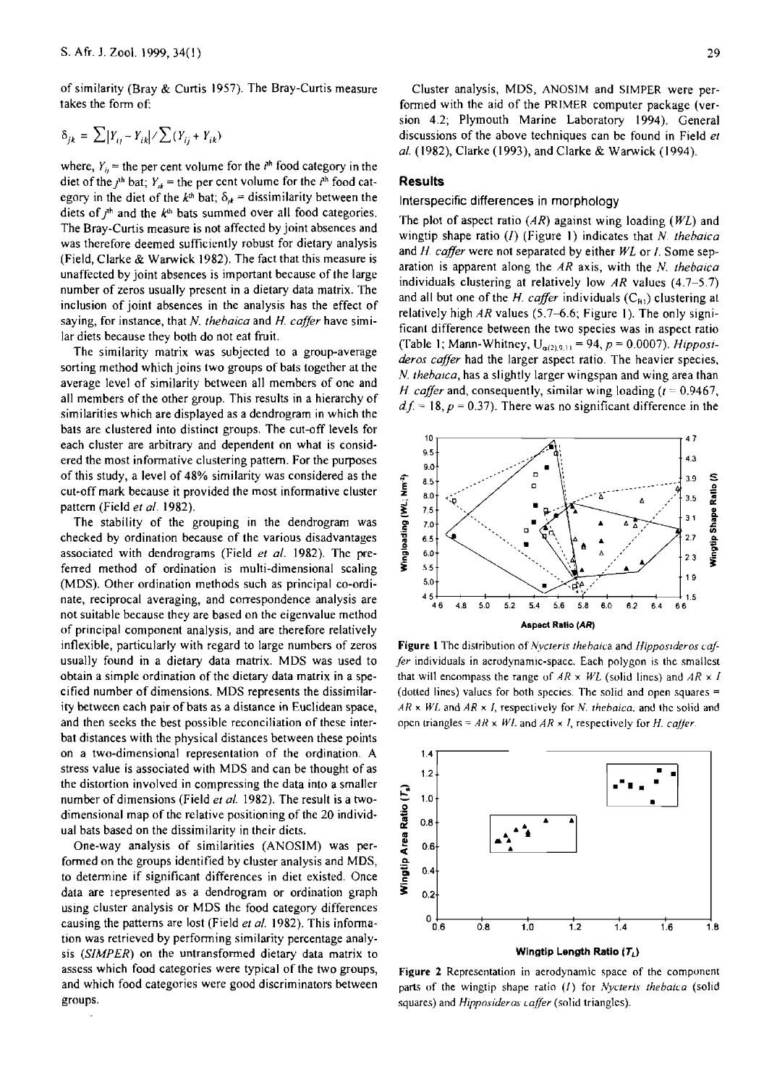of similarity (Bray & Curtis 1957). The Bray-Curtis measure takes the form of:

$$
\delta_{jk} = \sum |Y_{ij} - Y_{ik}| / \sum (Y_{ij} + Y_{ik})
$$

where,  $Y_{ij}$  = the per cent volume for the  $i<sup>th</sup>$  food category in the diet of the  $j<sup>th</sup>$  bat;  $Y_{ik}$  = the per cent volume for the  $i<sup>th</sup>$  food category in the diet of the  $k<sup>th</sup>$  bat;  $\delta_{ik}$  = dissimilarity between the diets of  $j^{\text{th}}$  and the  $k^{\text{th}}$  bats summed over all food categories. The Bray-Curtis measure is not affected by joint absences and was therefore deemed sufficiently robust for dietary analysis (Field, Clarke & Warwick 1982). The fact that this measure is unaffected by joint absences is important because of the large number of zeros usually present in a dietary data matrix. The inclusion of joint absences in the analysis has the effect of saying, for instance, that N. *thebaica* and *H. caffer* have similar diets because they both do not eat fruit.

The similarity matrix was subjected to a group-average sorting method which joins two groups of bats together at the average level of similarity between all members of one and all members of the other group. This results in a hierarchy of similarities which are displayed as a dendrogram in which the bats are clustered into distinct groups. The cut-off levels for each cluster are arbitrary and dependent on what is considered the most informative clustering pattern. For the purposes of this study, a level of 48% similarity was considered as the cut-off mark because it provided the most infonnative cluster pattern (Field *et al. 1982).* 

The stability of the grouping in the dendrogram was checked by ordination because of the various disadvantages associated with dendrograms (Field *et al.* 1982). The preferred method of ordination is multi-dimensional scaling (MDS). Other ordination methods such as principal co-ordinate, reciprocal averaging, and correspondence analysis are not suitable because they are based on the eigenvalue method of principal component analysis, and are therefore relatively inflexible, particularly with regard to large numbers of zeros usually found in a dietary data matrix. MDS was used to obtain a simple ordination of the dietary data matrix in a specified number of dimensions. MDS represents the dissimilarity between each pair of bats as a distance in Euclidean space, and then seeks the best possible reconciliation of these interbat distances with the physical distances between these points on a two-dimensional representation of the ordination. A stress value is associated with MDS and can be thought of as the distortion involved in compressing the data into a smaller number of dimensions (Field *et al.* 1982). The result is a twodimensional map of the relative positioning of the 20 individual bats based on the dissimilarity in their diets.

One-way analysis of similarities (ANOSJM) was performed on the groups identified by cluster analysis and MDS, to determine if significant differences in diet existed. Once data are represented as a dendrogram or ordination graph using cluster analysis or MDS the food category differences causing the patterns are lost (Field *et al.* 1982). This infonnation was retrieved by performing similarity percentage analysis *(SIMPER)* on the untransformed dietary data matrix to assess which food categories were typical of the two groups, and which food categories were good discriminators between groups.

Cluster analysis, MDS, ANOSIM and SIMPER were performed with the aid of the PRIMER computer package (version 4.2; Plymouth Marine Laboratory 1994). General discussions of the above techniques can be found in Field *et al.* (1982), Clarke (1993), and Clarke & Warwick (1994).

# Results

## Interspecific differences in morphology

The plot of aspect ratio  $(AR)$  against wing loading  $(WL)$  and wingtip shape ratio (I) (Figure 1) indicates that N. *thebaica* and H. caffer were not separated by either WL or I. Some separation is apparent along the AR axis, with the *N. thebaica*  individuals clustering at relatively low AR values  $(4.7-5.7)$ and all but one of the *H. caffer* individuals  $(C_{B1})$  clustering at relatively high AR values (5.7–6.6; Figure 1). The only significant difference between the two species was in aspect ratio (Table 1; Mann-Whitney,  $U_{\alpha(2),9,11} = 94$ ,  $p = 0.0007$ ). *Hipposideros caffer* had the larger aspect ratio. The heavier species, N. thebaica, has a slightly larger wingspan and wing area than H. *caffer* and, consequently, similar wing loading  $(t = 0.9467)$ ,  $d f = 18$ ,  $p = 0.37$ ). There was no significant difference in the



Figure 1 The distribution of *Nycteris thebaica* and *Hipposideros caffer* individuals in aerodynamic-space. Each polygon is the smallest that will encompass the range of  $AR \times WL$  (solid lines) and  $AR \times I$ (dotted lines) values for both species. The solid and open squares  $=$  $AR \times WL$  and  $AR \times I$ , respectively for *N*, *thebaica*, and the solid and open triangles =  $AR \times WL$  and  $AR \times I$ , respectively for *H. calfer.* 



Figure 2 Representation in aerodynamic space of the component parts of the wingtip shape ratio (I) for *Nycteris thebaica* (solid squares) and *Hipposideros caffer* (solid triangles).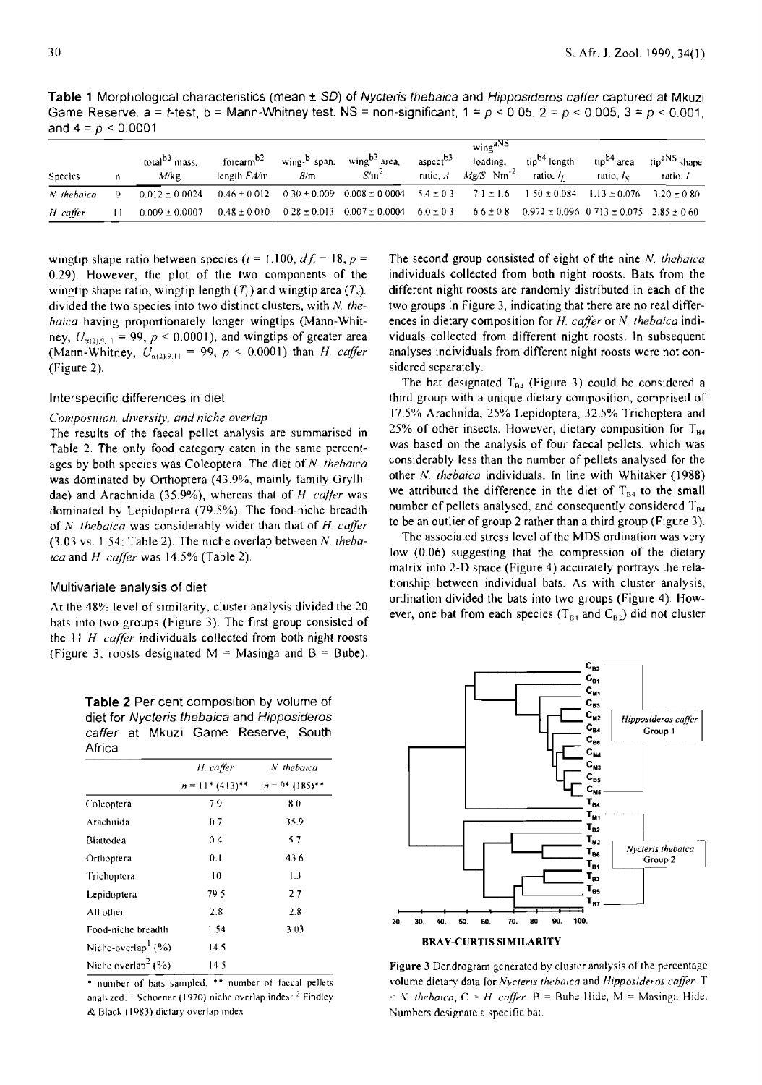**Table 1** Morphological characteristics (mean ± SO) of Nycteris thebaica and Hipposideros caffer captured at Mkuzi Game Reserve. a = t-test, b = Mann-Whitney test. NS = non-significant, 1 = *P* < 0 05, 2 = *P* < 0.005, 3 = *P* < 0.001, and  $4 = p < 0.0001$ 

| <b>Species</b> | n | total <sup>b3</sup> mass.<br>M/kg | forearm <sup>b2</sup><br>length $FA/m$ | wing-b <sup>1</sup> span,<br>B/m | wing <sup>b3</sup> area,<br>$S/m^2$ | aspect <sup>b3</sup><br>ratio, A | wing <sup>aNS</sup><br>loading,<br>$Me/S$ Nm <sup>-2</sup> | tip <sup>b4</sup> length<br>ratio, $It$ | tip <sup>b4</sup> area<br>ratio. /c                 | tip <sup>aNS</sup> shape<br>ratio, I |
|----------------|---|-----------------------------------|----------------------------------------|----------------------------------|-------------------------------------|----------------------------------|------------------------------------------------------------|-----------------------------------------|-----------------------------------------------------|--------------------------------------|
| $N$ the baica  | ٥ | $0.012 \pm 0.0024$                | $0.46 \pm 0.012$                       |                                  | $0.30 \pm 0.009$ $0.008 \pm 0.0004$ |                                  | $5.4 \pm 0.3$ $71 \pm 1.6$                                 | $150 \pm 0.084$                         | $1.13 \pm 0.076$ $3.20 \pm 0.80$                    |                                      |
| H caffer       |   | $0.009 \pm 0.0007$                | $0.48 \pm 0.010$                       | $0.28 \pm 0.013$                 | $0.007 \pm 0.0004$                  | $6.0 \pm 0.3$                    | 66±08                                                      |                                         | $0.972 \pm 0.096$ 0.713 $\pm 0.075$ 2.85 $\pm 0.60$ |                                      |

wingtip shape ratio between species  $(t = 1.100, d.f. = 18, p =$ 0.29). However, the plot of the two components of the wingtip shape ratio, wingtip length  $(T<sub>t</sub>)$  and wingtip area  $(T<sub>s</sub>)$ . divided the two species into two distinct clusters, with N. the*baica* having proportionately longer wingtips (Mann-Whitney,  $U_{\alpha(2,9,1)} = 99$ ,  $p < 0.0001$ ), and wingtips of greater area (Mann-Whitney,  $U_{\alpha(2),9,11} = 99$ ,  $p < 0.0001$ ) than *H. caffer* (Figure 2).

### Interspecific differences in diet

## *Composition, diversity, and niche overlap*

The results of the faecal pellet analysis are summarised in Table 2. The only food category eaten in the same percentages by both species was Coleoptera. The diet of *N. thebaica* was dominated by Orthoptera (43.9%, mainly family Gryllidae) and Arachnida (35.9%), whereas that of H. *caffer* was dominated by Lepidoptera (79.5%). The food-niche breadth of *N thebuica* was considerably wider than that of *H. caffer*  (3.03 vs. 1.54: Table 2). The niche overlap between N. *thebaica* and *H caffer* was 14.5% (Table 2).

## Multivariate analysis of diet

At the 4S% level of similarity, cluster analysis divided the 20 bats into two groups (Figure 3). The first group consisted of the II H *caffer* individuals collected from both night roosts (Figure 3; roosts designated  $M = M$ asinga and  $B = B$ ube).

**Table 2** Per cent composition by volume of diet for Nycteris thebaica and Hipposideros caffer at Mkuzi Game Reserve, South Africa

|                                | H. caffer          | $N$ the barca               |
|--------------------------------|--------------------|-----------------------------|
|                                | $n = 11$ * (413)** | $n = 0$ (185) <sup>**</sup> |
| Colcoptera                     | 79                 | 80                          |
| Arachnida                      | 07                 | 35.9                        |
| Blattodea                      | 0 <sub>4</sub>     | 57                          |
| Orthoptera                     | 0.1                | 436                         |
| Trichoptera                    | 10                 | 1.3                         |
| Lepidoptera                    | 79 S               | 27                          |
| All other                      | 2.8                | 2.8                         |
| Food-niche breadth             | 1.54               | 3.03                        |
| Niche-overlap <sup>1</sup> (%) | 14.5               |                             |
| Niche overlap <sup>2</sup> (%) | 14.5               |                             |

\* number of bats sampled, \*\* number of faecal pellets analyzed. <sup>1</sup> Schoener (1970) niche overlap index:  $2$  Findley & Blac\o .. (1983) dietary overlap index

The second group consisted of eight of the nine N. *thehaica*  individuals collected from both night roosts. Bats from the different night roosts are randomly distributed in each of the two groups in Figure 3, indicating that there are no real differences in dietary composition for *H. caffer* or *N. thebaica* individuals collected from different night roosts. In subsequent analyses individuals from different night roosts were not considered separately.

The bat designated  $T_{B4}$  (Figure 3) could be considered a third group with a unique dietary composition, comprised of 17.5% Arachnida, 25% Lepidoptera, 32.5% Trichoptera and 25% of other insects. However, dietary composition for  $T_{\text{H4}}$ was based on the analysis of four faecal pellets, which was considerably less than the number of pellets analysed for the other *N. thebaica* individuals. In line with Whitaker (1988) we attributed the difference in the diet of  $T_{B4}$  to the small number of pellets analysed, and consequently considered  $T_{BA}$ to be an outlier of group 2 rather than a third group (Figure 3).

The associated stress level of the MDS ordination was very low (0.06) suggesting that the compression of the dietary matrix into 2-D space (Figure 4) accurately portrays the relationship between individual bats. As with cluster analysis, ordination divided the bats into two groups (Figure 4). However, one bat from each species ( $T_{B4}$  and  $C_{B2}$ ) did not cluster



Figure 3 Dendrogram generated by cluster analysis of the percentage volume dietary data for *Nycterls thebalca* and *Hipposideros caffer* T  $\therefore$  *N. thebaica, C = H caffer.*  $B =$  Bube Hide,  $M =$  Masinga Hide. Numbers designate a specific bat.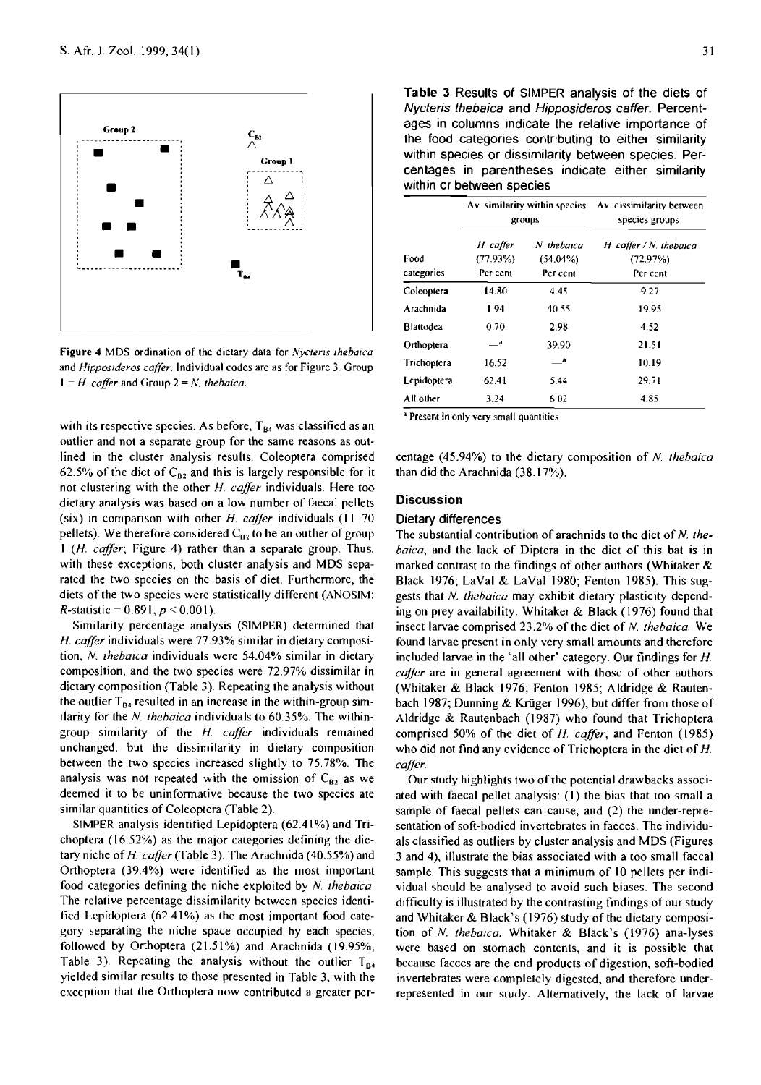

Figure 4 MDS ordination of the dietary data for *Nycteris thebaica* and *Hipposlderos caffer.* Individual codes are as for Figure 3. Group  $1 = H$ . *caffer* and Group  $2 = N$ . *thebaica.* 

with its respective species. As before,  $T_{B4}$  was classified as an outlier and not a separate group for the same reasons as outlined in the cluster analysis results. Coleoptera comprised 62.5% of the diet of  $C_{B2}$  and this is largely responsible for it not clustering with the other *H. cafJer* individuals. Here too dietary analysis was based on a low number of faecal pellets (six) in comparison with other *H. cajJer* individuals (11-70 pellets). We therefore considered  $C_{\bf 82}$  to be an outlier of group 1 *(H. caffer;* Figure 4) rather than a separate group. Thus, with these exceptions, both cluster analysis and MDS separated the two species on the basis of diet. Furthermore, the diets of the two species were statistically different (ANOSIM: R-statistic =  $0.891, p \le 0.001$ ).

Similarity percentage analysis (SIMPER) determined that *H. caffer* individuals were 77.93% similar in dietary composition, N. *thebaica* individuals were 54.04% similar in dietary composition, and the two species were 72.97% dissimilar in dietary composition (Table 3). Repeating the analysis without the outlier  $T_{B4}$  resulted in an increase in the within-group similarity for the N. *thehaica* individuals to 60.35%. The withingroup similarity of the *H. caffer* individuals remained unchanged, but the dissimilarity in dietary composition between the two species increased slightly to 75.78%. The analysis was not repeated with the omission of  $C_{82}$  as we deemed it to be uninformative because the two species ate similar quantities of Coleoptera (Table 2).

SIMPER analysis identified Lepidoptera (62.41%) and Trichoptera (16.52%) as the major categories defining the dietary niche of *H caffer* (Table 3). The Arachnida (40.55%) and Orthoptera (39.4%) were identified as the most important food categories defining the niche exploited by *N. thebaica.*  The relative percentage dissimilarity between species identified Lepidoptera  $(62.41\%)$  as the most important food category separating the niche space occupied by each species, followed by Orthoptera  $(21.51\%)$  and Arachnida (19.95%; Table 3). Repeating the analysis without the outlier  $T_{\mathbf{B4}}$ yielded similar results to those presented in Table 3, with the exception that the Orthoptera now contributed a greater per-

**Table 3** Results of SIMPER analysis of the diets of Nycteris thebaica and Hipposideros caffer. Percentages in columns indicate the relative importance of the food categories contributing to either similarity within species or dissimilarity between species. Percentages in parentheses indicate either similarity within or between species

|                    |                                  | Av similarity within species<br>groups | Av. dissimilarity between<br>species groups      |  |  |
|--------------------|----------------------------------|----------------------------------------|--------------------------------------------------|--|--|
| Food<br>categories | H caffer<br>(77.93%)<br>Per cent | N thebaica<br>$(54.04\%)$<br>Per cent  | $H$ caffer / N. thebaica<br>(72.97%)<br>Per cent |  |  |
| Coleoptera         | 14.80                            | 4.45                                   | 9.27                                             |  |  |
| Arachnida          | 1.94                             | 40.55                                  | 19.95                                            |  |  |
| <b>Blattodea</b>   | 0.70                             | 2.98                                   | 4.52                                             |  |  |
| Orthoptera         | $\overline{\phantom{a}}$         | 39.90                                  | 21.51                                            |  |  |
| Trichoptera        | 16.52                            | а                                      | 10.19                                            |  |  |
| Lepidoptera        | 62.41                            | 5.44                                   | 29.71                                            |  |  |
| All other          | 3.24                             | 6.02                                   | 485                                              |  |  |

<sup>a</sup> Present in only very small quantities

centage (45.94%) to the dietary composition of N. *thebaica*  than did the Arachnida (38.17%).

## **Discussion**

# Dietary differences

The substantial contribution of arachnids to the diet of N *thebaica,* and the lack of Diptera in the diet of this bat is in marked contrast to the findings of other authors (Whitaker & Black 1976; LaVal & LaVal 1980; Fenton 1985). This suggests that N. *thebaica* may exhibit dietary plasticity depending on prey availability. Whitaker & Black (1976) found that insect larvae comprised 23.2% of the diet of N. *thebaica.* We found larvae present in only very small amounts and therefore included larvae in the 'all other' category. Our findings for *H. caffer* are in general agreement with those of other authors (Whitaker & Black 1976; Fenton 1985; Aldridge & Rautenbach 1987; Dunning & Krüger 1996), but differ from those of Aldridge & Rautenbach (1987) who found that Trichoptera comprised 50% of the diet of *H. caffer,* and Fenton (l985) who did not fmd any evidence of Trichoptera in the diet of *H. cajJer.* 

Our study highlights two of the potential drawbacks associated with faecal pellet analysis: (I) the bias that too small a sample of faecal pellets can cause, and (2) the under-representation of soft-bodied invertebrates in faeces. The individuals classified as outliers by cluster analysis and MDS (Figures 3 and 4), illustrate the bias associated with a too small faecal sample. This suggests that a minimum of 10 pellets per individual should be analysed to avoid such biases. The second difficulty is illustrated by the contrasting findings of our study and Whitaker & Black's (1976) study of the dietary composition of N. *thebaica.* Whitaker & Black's (1976) ana-lyses were based on stomach contents, and it is possible that because faeces are the end products of digestion, soft-bodied invertebrates were completely digested, and therefore underrepresented in our study. Alternatively, the lack of larvae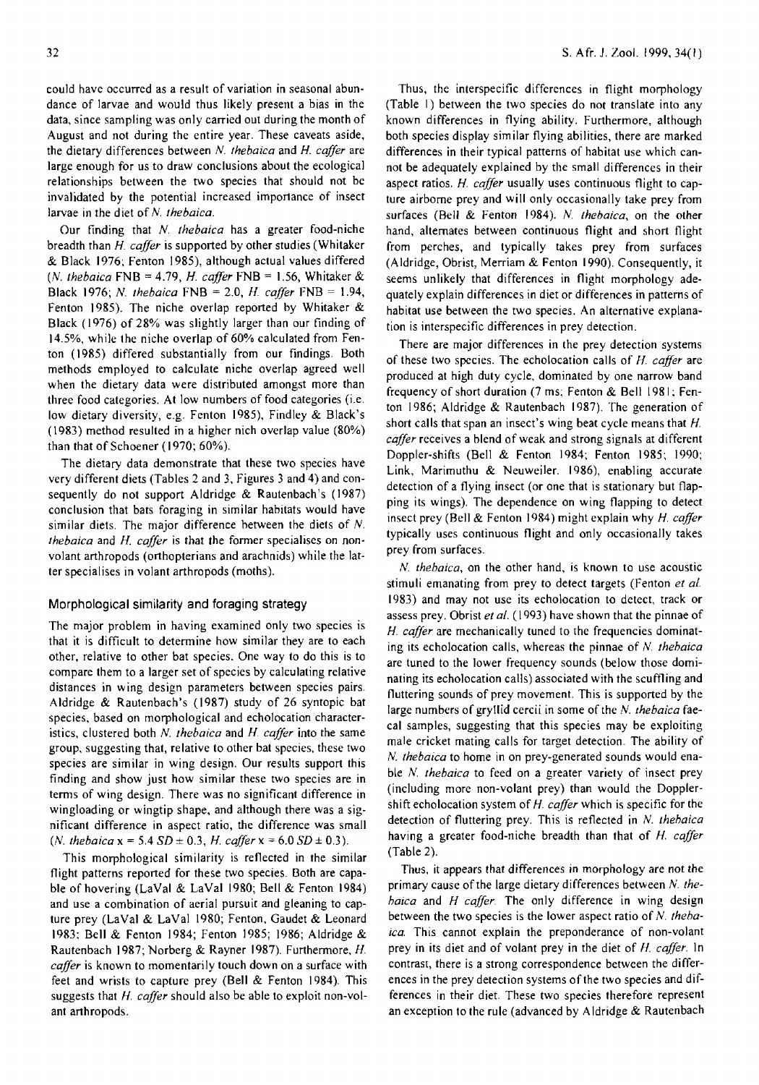could have occurred as a result of variation in seasonal abundance of larvae and would thus likely present a bias in the data, since sampling was only carried out during the month of August and not during the entire year. These caveats aside, the dietary differences between N. *thebaica* and *H. caffer* are large enough for us to draw conclusions about the ecological relationships between the two species that should not be invalidated by the potential increased importance of insect larvae in the diet of N. *thebaica.* 

Our finding that N. *thebaica* has a greater food-niche breadth than H. *caffer* is supported by other studies (Whitaker & Black 1976; Fenton 1985), although actual values differed (N. *thebaiea* FNB = 4.79, H. *cajJer* FNB = 1.56, Whitaker & Black 1976; N. *thebaica* FNB = 2.0, *H. caffer* FNB = 1.94, Fenton 1985). The niche overlap reported by Whitaker & Black (1976) of 28% was slightly larger than our finding of 14.5%, while the niche overlap of 60% calculated from Fenton (1985) differed substantially from our findings. Both methods employed to calculate niche overlap agreed well when the dietary data were distributed amongst more than three food categories. At low numbers of food categories (i.e. low dietary diversity, e.g. Fenton 1985), Findley & Black's (1983) method resulted in a higher nich overlap value (80%) than that of Schoener (1970; 60%).

The dietary data demonstrate that these two species have very different diets (Tables 2 and 3, Figures 3 and 4) and consequently do not support Aldridge & Rautenbach's (1987) conclusion that bats foraging in similar habitats would have similar diets. The major difference between the diets of  $N$ . *thebaica* and *H. caffer* is that the former specialises on nonvolant arthropods (orthopterians and arachnids) while the latter specialises in volant arthropods (moths).

### Morphological similarity and foraging strategy

The major problem in having examined only two species is that it is difficult to determine how similar they are to each other, relative to other bat species. One way to do this is to compare them to a larger set of species by calculating relative distances in wing design parameters between species pairs. Aldridge & Rautenbach's (1987) study of 26 syntopic bat species, based on morphological and echolocation characteristics, clustered both N. *thebaica* and *H. caffer* into the same group, suggesting that, relative to other bat species, these two species are similar in wing design. Our results support this finding and show just how similar these two species are in terms of wing design. There was no significant difference in wingloading or wingtip shape, and although there was a significant difference in aspect ratio, the difference was small (*N. thebaica*  $x = 5.4$  *SD*  $\pm$  0.3, *H. caffer*  $x = 6.0$  *SD*  $\pm$  0.3).

This morphological similarity is reflected in the similar flight patterns reported for these two species. Both are capable of hovering (LaVal & LaVal 1980; Bell & Fenton 1984) and use a combination of aerial pursuit and gleaning to capture prey (LaVal & LaVal 1980; Fenton, Gaudet & Leonard 1983; Bell & Fenton 1984; Fenton 1985; 1986; Aldridge & Rautenbach 1987; Norberg & Rayner 1987). Furthermore, *H. caffer* is known to momentarily touch down on a surface with feet and wrists to capture prey (Bell & Fenton 1984). This suggests that *H. caffer* should also be able to exploit non-volant arthropods.

Thus, the interspecific differences in flight morphology (Table I) between the two species do not translate into any known differences in flying ability. Furthermore, although both species display similar flying abilities, there are marked differences in their typical patterns of habitat use which cannot be adequately explained by the small differences in their aspect ratios. *H. caffer* usually uses continuous flight to capture airborne prey and will only occasionally take prey from surfaces (Bell & Fenton 1984). *N. Ihebaica,* on the other hand, alternates between continuous flight and short flight from perches, and typically takes prey from surfaces (Aldridge, Obrist, Merriam & Fenton 1990). Consequently, it seems unlikely that differences in flight morphology adequately explain differences in diet or differences in patterns of habitat use between the two species. An alternative explanation is interspecific differences in prey detection.

There are major differences in the prey detection systems of these two species. The echolocation calls of *H. caffer* are produced at high duty cycle, dominated by one narrow band frequency of short duration (7 ms; Fenton & Bell 1981: Fenton 1986; Aldridge & Rautenbach 1987). The generation of short calls that span an insect's wing beat cycle means that H. *caffer* receives a blend of weak and strong signals at different Doppler-shifts (Bell & Fenton 1984; Fenton 1985; 1990; Link, Marimuthu & Neuweiler. 1986), enabling accurate detection of a flying insect (or one that is stationary but flapping its wings). The dependence on wing flapping to detect insect prey (8ell & Fenton 1984) might explain why H. *caffer*  typically uses continuous flight and only occasionally takes prey from surfaces.

*N. thebaica,* on the other hand, is known to use acoustic stimuli emanating from prey to detect targets (Fenton *et al.*  1983) and may not use its echolocation to detect, track or assess prey. Obrist *et al.* (1993) have shown that the pinnae of *H. caffer* are mechanically tuned to the frequencies dominating its echolocation calls, whereas the pinnae of N. *thebaica*  are tuned to the lower frequency sounds (below those dominating its echolocation calls) associated with the scuffling and fluttering sounds of prey movement. This is supported by the large numbers of gryllid cercii in some of the N. *thebaica* faecal samples, suggesting that this species may be exploiting male cricket mating calls for target detection. The ability of *N. thebaica* to home in on prey-generated sounds would enable *N. thebaica* to feed on a greater variety of insect prey (including more non-volant prey) than would the Dopplershift echolocation system of H. *caffer* which is specific for the detection of fluttering prey. This is reflected in N. *thebaica*  having a greater food-niche breadth than that of *H. caffer*  (Table 2).

Thus, it appears that differences in morphology are not the primary cause of the large dietary differences between N. *thebaica* and H *caffer.* The only difference in wing design between the two species is the lower aspect ratio of N. *thebaiea.* This cannot explain the preponderance of non-volant prey in its diet and of volant prey in the diet of *H. caffer.* In contrast, there is a strong correspondence between the differences in the prey detection systems of the two species and differences in their diet. These two species therefore represent an exception to the rule (advanced by Aldridge  $\&$  Rautenbach